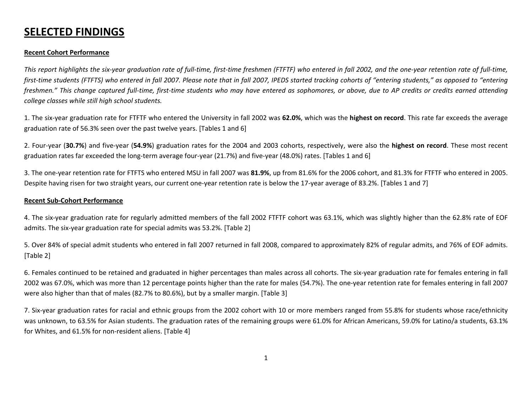# **SELECTED FINDINGS**

## **Recent Cohort Performance**

This report highlights the six-year graduation rate of full-time, first-time freshmen (FTFTF) who entered in fall 2002, and the one-year retention rate of full-time, first-time students (FTFTS) who entered in fall 2007. Please note that in fall 2007, IPEDS started tracking cohorts of "entering students," as opposed to "entering freshmen." This change captured full-time, first-time students who may have entered as sophomores, or above, due to AP credits or credits earned attending *college classes while still high school students.*

1. The six‐year graduation rate for FTFTF who entered the University in fall 2002 was **62.0%**, which was the **highest on record**. This rate far exceeds the average graduation rate of 56.3% seen over the past twelve years. [Tables 1 and 6]

2. Four‐year (**30.7%**) and five‐year (**54.9%**) graduation rates for the 2004 and 2003 cohorts, respectively, were also the **highest on record**. These most recent graduation rates far exceeded the long-term average four-year (21.7%) and five-year (48.0%) rates. [Tables 1 and 6]

3. The one‐year retention rate for FTFTS who entered MSU in fall 2007 was **81.9%**, up from 81.6% for the 2006 cohort, and 81.3% for FTFTF who entered in 2005. Despite having risen for two straight years, our current one‐year retention rate is below the 17‐year average of 83.2%. [Tables 1 and 7]

### **Recent Sub‐Cohort Performance**

4. The six‐year graduation rate for regularly admitted members of the fall 2002 FTFTF cohort was 63.1%, which was slightly higher than the 62.8% rate of EOF admits. The six‐year graduation rate for special admits was 53.2%. [Table 2]

5. Over 84% of special admit students who entered in fall 2007 returned in fall 2008, compared to approximately 82% of regular admits, and 76% of EOF admits. [Table 2]

6. Females continued to be retained and graduated in higher percentages than males across all cohorts. The six‐year graduation rate for females entering in fall 2002 was 67.0%, which was more than 12 percentage points higher than the rate for males (54.7%). The one‐year retention rate for females entering in fall 2007 were also higher than that of males (82.7% to 80.6%), but by <sup>a</sup> smaller margin. [Table 3]

7. Six‐year graduation rates for racial and ethnic groups from the 2002 cohort with 10 or more members ranged from 55.8% for students whose race/ethnicity was unknown, to 63.5% for Asian students. The graduation rates of the remaining groups were 61.0% for African Americans, 59.0% for Latino/a students, 63.1% for Whites, and 61.5% for non‐resident aliens. [Table 4]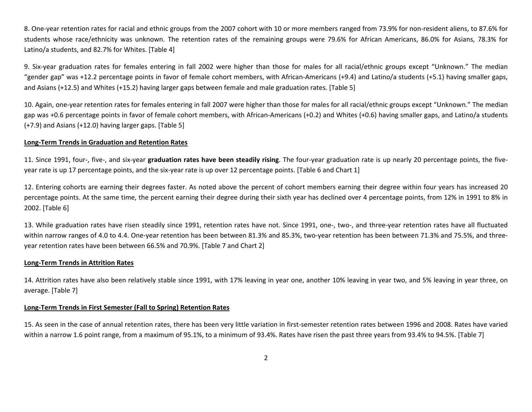8. One‐year retention rates for racial and ethnic groups from the 2007 cohort with 10 or more members ranged from 73.9% for non‐resident aliens, to 87.6% for students whose race/ethnicity was unknown. The retention rates of the remaining groups were 79.6% for African Americans, 86.0% for Asians, 78.3% for Latino/a students, and 82.7% for Whites. [Table 4]

9. Six‐year graduation rates for females entering in fall 2002 were higher than those for males for all racial/ethnic groups except "Unknown." The median "gender gap" was +12.2 percentage points in favor of female cohort members, with African‐Americans (+9.4) and Latino/a students (+5.1) having smaller gaps, and Asians (+12.5) and Whites (+15.2) having larger gaps between female and male graduation rates. [Table 5]

10. Again, one‐year retention rates for females entering in fall 2007 were higher than those for males for all racial/ethnic groups except "Unknown." The median gap was +0.6 percentage points in favor of female cohort members, with African-Americans (+0.2) and Whites (+0.6) having smaller gaps, and Latino/a students (+7.9) and Asians (+12.0) having larger gaps. [Table 5]

#### **Long‐Term Trends in Graduation and Retention Rates**

11. Since 1991, four‐, five‐, and six‐year **graduation rates have been steadily rising**. The four‐year graduation rate is up nearly 20 percentage points, the five‐ year rate is up 17 percentage points, and the six-year rate is up over 12 percentage points. [Table 6 and Chart 1]

12. Entering cohorts are earning their degrees faster. As noted above the percent of cohort members earning their degree within four years has increased 20 percentage points. At the same time, the percent earning their degree during their sixth year has declined over 4 percentage points, from 12% in 1991 to 8% in 2002. [Table 6]

13. While graduation rates have risen steadily since 1991, retention rates have not. Since 1991, one‐, two‐, and three‐year retention rates have all fluctuated within narrow ranges of 4.0 to 4.4. One‐year retention has been between 81.3% and 85.3%, two‐year retention has been between 71.3% and 75.5%, and three‐ year retention rates have been between 66.5% and 70.9%. [Table 7 and Chart 2]

### **Long‐Term Trends in Attrition Rates**

14. Attrition rates have also been relatively stable since 1991, with 17% leaving in year one, another 10% leaving in year two, and 5% leaving in year three, on average. [Table 7]

#### **Long‐Term Trends in First Semester (Fall to Spring) Retention Rates**

15. As seen in the case of annual retention rates, there has been very little variation in first‐semester retention rates between 1996 and 2008. Rates have varied within a narrow 1.6 point range, from <sup>a</sup> maximum of 95.1%, to <sup>a</sup> minimum of 93.4%. Rates have risen the past three years from 93.4% to 94.5%. [Table 7]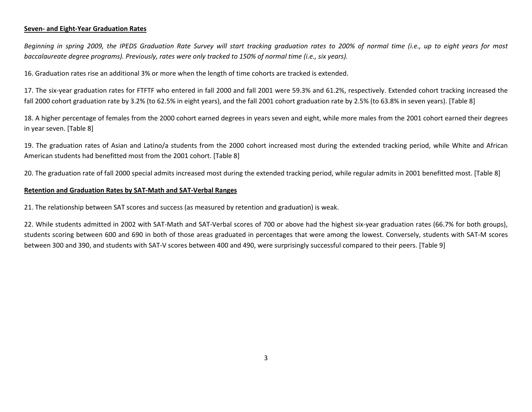### **Seven‐ and Eight‐Year Graduation Rates**

Beginning in spring 2009, the IPEDS Graduation Rate Survey will start tracking graduation rates to 200% of normal time (i.e., up to eight years for most *baccalaureate degree programs). Previously, rates were only tracked to 150% of normal time (i.e., six years).*

16. Graduation rates rise an additional 3% or more when the length of time cohorts are tracked is extended.

17. The six‐year graduation rates for FTFTF who entered in fall 2000 and fall 2001 were 59.3% and 61.2%, respectively. Extended cohort tracking increased the fall 2000 cohort graduation rate by 3.2% (to 62.5% in eight years), and the fall 2001 cohort graduation rate by 2.5% (to 63.8% in seven years). [Table 8]

18. A higher percentage of females from the 2000 cohort earned degrees in years seven and eight, while more males from the 2001 cohort earned their degrees in year seven. [Table 8]

19. The graduation rates of Asian and Latino/a students from the 2000 cohort increased most during the extended tracking period, while White and African American students had benefitted most from the 2001 cohort. [Table 8]

20. The graduation rate of fall 2000 special admits increased most during the extended tracking period, while regular admits in 2001 benefitted most. [Table 8]

### **Retention and Graduation Rates by SAT‐Math and SAT‐Verbal Ranges**

21. The relationship between SAT scores and success (as measured by retention and graduation) is weak.

22. While students admitted in 2002 with SAT‐Math and SAT‐Verbal scores of 700 or above had the highest six‐year graduation rates (66.7% for both groups), students scoring between 600 and 690 in both of those areas graduated in percentages that were among the lowest. Conversely, students with SAT‐M scores between 300 and 390, and students with SAT‐V scores between 400 and 490, were surprisingly successful compared to their peers. [Table 9]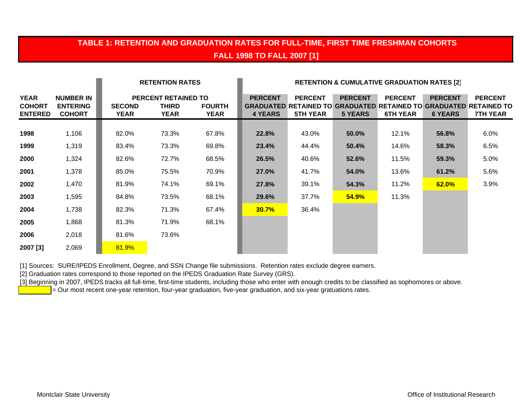## **TABLE 1: RETENTION AND GRADUATION RATES FOR FULL-TIME, FIRST TIME FRESHMAN COHORTS FALL 1998 TO FALL 2007 [1]**

|                                                |                                                      |                       | <b>RETENTION RATES</b>                      |                              | <b>RETENTION &amp; CUMULATIVE GRADUATION RATES [2]</b> |                                   |                                  |                                   |                                  |                                                                                                               |
|------------------------------------------------|------------------------------------------------------|-----------------------|---------------------------------------------|------------------------------|--------------------------------------------------------|-----------------------------------|----------------------------------|-----------------------------------|----------------------------------|---------------------------------------------------------------------------------------------------------------|
| <b>YEAR</b><br><b>COHORT</b><br><b>ENTERED</b> | <b>NUMBER IN</b><br><b>ENTERING</b><br><b>COHORT</b> | <b>SECOND</b><br>YEAR | PERCENT RETAINED TO<br><b>THIRD</b><br>YEAR | <b>FOURTH</b><br><b>YEAR</b> | <b>PERCENT</b><br><b>4 YEARS</b>                       | <b>PERCENT</b><br><b>5TH YEAR</b> | <b>PERCENT</b><br><b>5 YEARS</b> | <b>PERCENT</b><br><b>6TH YEAR</b> | <b>PERCENT</b><br><b>6 YEARS</b> | <b>PERCENT</b><br><b>GRADUATED RETAINED TO GRADUATED RETAINED TO GRADUATED RETAINED TO</b><br><b>7TH YEAR</b> |
| 1998                                           | 1,106                                                | 82.0%                 | 73.3%                                       | 67.8%                        | 22.8%                                                  | 43.0%                             | 50.0%                            | 12.1%                             | 56.8%                            | 6.0%                                                                                                          |
| 1999                                           | 1,319                                                | 83.4%                 | 73.3%                                       | 69.8%                        | 23.4%                                                  | 44.4%                             | 50.4%                            | 14.6%                             | 58.3%                            | 6.5%                                                                                                          |
| 2000                                           | 1,324                                                | 82.6%                 | 72.7%                                       | 68.5%                        | 26.5%                                                  | 40.6%                             | 52.6%                            | 11.5%                             | 59.3%                            | 5.0%                                                                                                          |
| 2001                                           | 1,378                                                | 85.0%                 | 75.5%                                       | 70.9%                        | 27.0%                                                  | 41.7%                             | 54.0%                            | 13.6%                             | 61.2%                            | 5.6%                                                                                                          |
| 2002                                           | 1,470                                                | 81.9%                 | 74.1%                                       | 69.1%                        | 27.8%                                                  | 39.1%                             | 54.3%                            | 11.2%                             | 62.0%                            | 3.9%                                                                                                          |
| 2003                                           | 1,595                                                | 84.8%                 | 73.5%                                       | 68.1%                        | 29.6%                                                  | 37.7%                             | 54.9%                            | 11.3%                             |                                  |                                                                                                               |
| 2004                                           | 1,738                                                | 82.3%                 | 71.3%                                       | 67.4%                        | <b>30.7%</b>                                           | 36.4%                             |                                  |                                   |                                  |                                                                                                               |
| 2005                                           | 1,868                                                | 81.3%                 | 71.9%                                       | 68.1%                        |                                                        |                                   |                                  |                                   |                                  |                                                                                                               |
| 2006                                           | 2,018                                                | 81.6%                 | 73.6%                                       |                              |                                                        |                                   |                                  |                                   |                                  |                                                                                                               |
| 2007 [3]                                       | 2,069                                                | 81.9%                 |                                             |                              |                                                        |                                   |                                  |                                   |                                  |                                                                                                               |

[1] Sources: SURE/IPEDS Enrollment, Degree, and SSN Change file submissions. Retention rates exclude degree earners.

[2] Graduation rates correspond to those reported on the IPEDS Graduation Rate Survey (GRS).

<sup>1</sup>3] Beginning in 2007, IPEDS tracks all full-time, first-time students, including those who enter with enough credits to be classified as sophomores or above.

= Our most recent one-year retention, four-year graduation, five-year graduation, and six-year gratuations rates.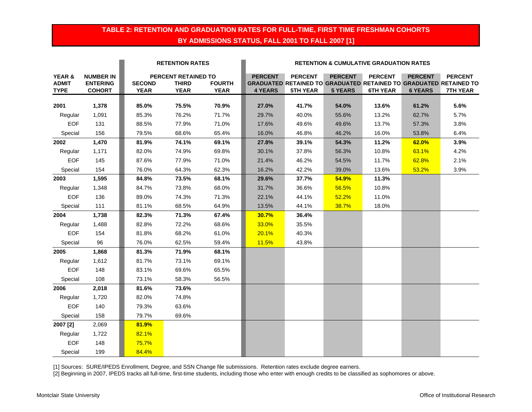## **TABLE 2: RETENTION AND GRADUATION RATES FOR FULL-TIME, FIRST TIME FRESHMAN COHORTS BY ADMISSIONS STATUS, FALL 2001 TO FALL 2007 [1]**

|              |                  |               | <b>RETENTION RATES</b> |               | <b>RETENTION &amp; CUMULATIVE GRADUATION RATES</b> |                                                                          |                |                 |                |                 |  |
|--------------|------------------|---------------|------------------------|---------------|----------------------------------------------------|--------------------------------------------------------------------------|----------------|-----------------|----------------|-----------------|--|
| YEAR &       | <b>NUMBER IN</b> |               | PERCENT RETAINED TO    |               | <b>PERCENT</b>                                     | <b>PERCENT</b>                                                           | <b>PERCENT</b> | <b>PERCENT</b>  | <b>PERCENT</b> | <b>PERCENT</b>  |  |
| <b>ADMIT</b> | <b>ENTERING</b>  | <b>SECOND</b> | <b>THIRD</b>           | <b>FOURTH</b> |                                                    | <b>GRADUATED RETAINED TO GRADUATED RETAINED TO GRADUATED RETAINED TO</b> |                |                 |                |                 |  |
| <b>TYPE</b>  | <b>COHORT</b>    | <b>YEAR</b>   | <b>YEAR</b>            | <b>YEAR</b>   | <b>4 YEARS</b>                                     | <b>5TH YEAR</b>                                                          | <b>5 YEARS</b> | <b>6TH YEAR</b> | <b>6 YEARS</b> | <b>7TH YEAR</b> |  |
| 2001         | 1,378            | 85.0%         | 75.5%                  | 70.9%         | 27.0%                                              | 41.7%                                                                    | 54.0%          | 13.6%           | 61.2%          | 5.6%            |  |
| Regular      | 1,091            | 85.3%         | 76.2%                  | 71.7%         | 29.7%                                              | 40.0%                                                                    | 55.6%          | 13.2%           | 62.7%          | 5.7%            |  |
| <b>EOF</b>   | 131              | 88.5%         | 77.9%                  | 71.0%         | 17.6%                                              | 49.6%                                                                    | 49.6%          | 13.7%           | 57.3%          | 3.8%            |  |
| Special      | 156              | 79.5%         | 68.6%                  | 65.4%         | 16.0%                                              | 46.8%                                                                    | 46.2%          | 16.0%           | 53.8%          | 6.4%            |  |
| 2002         | 1,470            | 81.9%         | 74.1%                  | 69.1%         | 27.8%                                              | 39.1%                                                                    | 54.3%          | 11.2%           | 62.0%          | 3.9%            |  |
| Regular      | 1,171            | 82.0%         | 74.9%                  | 69.8%         | 30.1%                                              | 37.8%                                                                    | 56.3%          | 10.8%           | 63.1%          | 4.2%            |  |
| <b>EOF</b>   | 145              | 87.6%         | 77.9%                  | 71.0%         | 21.4%                                              | 46.2%                                                                    | 54.5%          | 11.7%           | 62.8%          | 2.1%            |  |
| Special      | 154              | 76.0%         | 64.3%                  | 62.3%         | 16.2%                                              | 42.2%                                                                    | 39.0%          | 13.6%           | 53.2%          | 3.9%            |  |
| 2003         | 1,595            | 84.8%         | 73.5%                  | 68.1%         | 29.6%                                              | 37.7%                                                                    | 54.9%          | 11.3%           |                |                 |  |
| Regular      | 1,348            | 84.7%         | 73.8%                  | 68.0%         | 31.7%                                              | 36.6%                                                                    | 56.5%          | 10.8%           |                |                 |  |
| <b>EOF</b>   | 136              | 89.0%         | 74.3%                  | 71.3%         | 22.1%                                              | 44.1%                                                                    | 52.2%          | 11.0%           |                |                 |  |
| Special      | 111              | 81.1%         | 68.5%                  | 64.9%         | 13.5%                                              | 44.1%                                                                    | 38.7%          | 18.0%           |                |                 |  |
| 2004         | 1,738            | 82.3%         | 71.3%                  | 67.4%         | 30.7%                                              | 36.4%                                                                    |                |                 |                |                 |  |
| Regular      | 1,488            | 82.8%         | 72.2%                  | 68.6%         | 33.0%                                              | 35.5%                                                                    |                |                 |                |                 |  |
| EOF          | 154              | 81.8%         | 68.2%                  | 61.0%         | 20.1%                                              | 40.3%                                                                    |                |                 |                |                 |  |
| Special      | 96               | 76.0%         | 62.5%                  | 59.4%         | 11.5%                                              | 43.8%                                                                    |                |                 |                |                 |  |
| 2005         | 1,868            | 81.3%         | 71.9%                  | 68.1%         |                                                    |                                                                          |                |                 |                |                 |  |
| Regular      | 1,612            | 81.7%         | 73.1%                  | 69.1%         |                                                    |                                                                          |                |                 |                |                 |  |
| <b>EOF</b>   | 148              | 83.1%         | 69.6%                  | 65.5%         |                                                    |                                                                          |                |                 |                |                 |  |
| Special      | 108              | 73.1%         | 58.3%                  | 56.5%         |                                                    |                                                                          |                |                 |                |                 |  |
| 2006         | 2,018            | 81.6%         | 73.6%                  |               |                                                    |                                                                          |                |                 |                |                 |  |
| Regular      | 1,720            | 82.0%         | 74.8%                  |               |                                                    |                                                                          |                |                 |                |                 |  |
| <b>EOF</b>   | 140              | 79.3%         | 63.6%                  |               |                                                    |                                                                          |                |                 |                |                 |  |
| Special      | 158              | 79.7%         | 69.6%                  |               |                                                    |                                                                          |                |                 |                |                 |  |
| 2007 [2]     | 2,069            | 81.9%         |                        |               |                                                    |                                                                          |                |                 |                |                 |  |
| Regular      | 1,722            | 82.1%         |                        |               |                                                    |                                                                          |                |                 |                |                 |  |
| <b>EOF</b>   | 148              | 75.7%         |                        |               |                                                    |                                                                          |                |                 |                |                 |  |
| Special      | 199              | 84.4%         |                        |               |                                                    |                                                                          |                |                 |                |                 |  |

[1] Sources: SURE/IPEDS Enrollment, Degree, and SSN Change file submissions. Retention rates exclude degree earners.

[2] Beginning in 2007, IPEDS tracks all full-time, first-time students, including those who enter with enough credits to be classified as sophomores or above.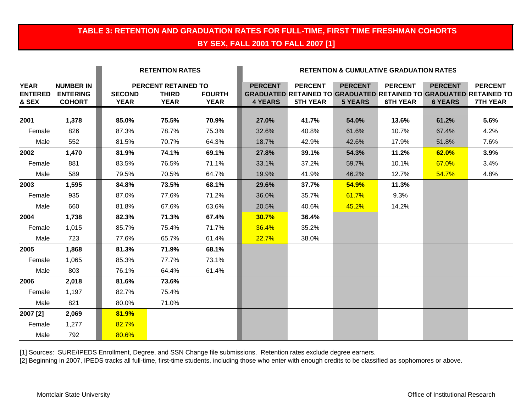## **TABLE 3: RETENTION AND GRADUATION RATES FOR FULL-TIME, FIRST TIME FRESHMAN COHORTS BY SEX, FALL 2001 TO FALL 2007 [1]**

|                                        |                                                      |                              | <b>RETENTION RATES</b>                             |                              | <b>RETENTION &amp; CUMULATIVE GRADUATION RATES</b> |                                   |                                  |                                   |                                  |                                                                                                               |
|----------------------------------------|------------------------------------------------------|------------------------------|----------------------------------------------------|------------------------------|----------------------------------------------------|-----------------------------------|----------------------------------|-----------------------------------|----------------------------------|---------------------------------------------------------------------------------------------------------------|
| <b>YEAR</b><br><b>ENTERED</b><br>& SEX | <b>NUMBER IN</b><br><b>ENTERING</b><br><b>COHORT</b> | <b>SECOND</b><br><b>YEAR</b> | PERCENT RETAINED TO<br><b>THIRD</b><br><b>YEAR</b> | <b>FOURTH</b><br><b>YEAR</b> | <b>PERCENT</b><br><b>4 YEARS</b>                   | <b>PERCENT</b><br><b>5TH YEAR</b> | <b>PERCENT</b><br><b>5 YEARS</b> | <b>PERCENT</b><br><b>6TH YEAR</b> | <b>PERCENT</b><br><b>6 YEARS</b> | <b>PERCENT</b><br><b>GRADUATED RETAINED TO GRADUATED RETAINED TO GRADUATED RETAINED TO</b><br><b>7TH YEAR</b> |
| 2001                                   | 1,378                                                | 85.0%                        | 75.5%                                              | 70.9%                        | 27.0%                                              | 41.7%                             | 54.0%                            | 13.6%                             | 61.2%                            | 5.6%                                                                                                          |
| Female                                 | 826                                                  | 87.3%                        | 78.7%                                              | 75.3%                        | 32.6%                                              | 40.8%                             | 61.6%                            | 10.7%                             | 67.4%                            | 4.2%                                                                                                          |
| Male                                   | 552                                                  | 81.5%                        | 70.7%                                              | 64.3%                        | 18.7%                                              | 42.9%                             | 42.6%                            | 17.9%                             | 51.8%                            | 7.6%                                                                                                          |
| 2002                                   | 1,470                                                | 81.9%                        | 74.1%                                              | 69.1%                        | 27.8%                                              | 39.1%                             | 54.3%                            | 11.2%                             | 62.0%                            | 3.9%                                                                                                          |
| Female                                 | 881                                                  | 83.5%                        | 76.5%                                              | 71.1%                        | 33.1%                                              | 37.2%                             | 59.7%                            | 10.1%                             | 67.0%                            | 3.4%                                                                                                          |
| Male                                   | 589                                                  | 79.5%                        | 70.5%                                              | 64.7%                        | 19.9%                                              | 41.9%                             | 46.2%                            | 12.7%                             | 54.7%                            | 4.8%                                                                                                          |
| 2003                                   | 1,595                                                | 84.8%                        | 73.5%                                              | 68.1%                        | 29.6%                                              | 37.7%                             | 54.9%                            | 11.3%                             |                                  |                                                                                                               |
| Female                                 | 935                                                  | 87.0%                        | 77.6%                                              | 71.2%                        | 36.0%                                              | 35.7%                             | 61.7%                            | 9.3%                              |                                  |                                                                                                               |
| Male                                   | 660                                                  | 81.8%                        | 67.6%                                              | 63.6%                        | 20.5%                                              | 40.6%                             | 45.2%                            | 14.2%                             |                                  |                                                                                                               |
| 2004                                   | 1,738                                                | 82.3%                        | 71.3%                                              | 67.4%                        | 30.7%                                              | 36.4%                             |                                  |                                   |                                  |                                                                                                               |
| Female                                 | 1,015                                                | 85.7%                        | 75.4%                                              | 71.7%                        | 36.4%                                              | 35.2%                             |                                  |                                   |                                  |                                                                                                               |
| Male                                   | 723                                                  | 77.6%                        | 65.7%                                              | 61.4%                        | 22.7%                                              | 38.0%                             |                                  |                                   |                                  |                                                                                                               |
| 2005                                   | 1,868                                                | 81.3%                        | 71.9%                                              | 68.1%                        |                                                    |                                   |                                  |                                   |                                  |                                                                                                               |
| Female                                 | 1,065                                                | 85.3%                        | 77.7%                                              | 73.1%                        |                                                    |                                   |                                  |                                   |                                  |                                                                                                               |
| Male                                   | 803                                                  | 76.1%                        | 64.4%                                              | 61.4%                        |                                                    |                                   |                                  |                                   |                                  |                                                                                                               |
| 2006                                   | 2,018                                                | 81.6%                        | 73.6%                                              |                              |                                                    |                                   |                                  |                                   |                                  |                                                                                                               |
| Female                                 | 1,197                                                | 82.7%                        | 75.4%                                              |                              |                                                    |                                   |                                  |                                   |                                  |                                                                                                               |
| Male                                   | 821                                                  | 80.0%                        | 71.0%                                              |                              |                                                    |                                   |                                  |                                   |                                  |                                                                                                               |
| 2007 [2]                               | 2,069                                                | 81.9%                        |                                                    |                              |                                                    |                                   |                                  |                                   |                                  |                                                                                                               |
| Female                                 | 1,277                                                | 82.7%                        |                                                    |                              |                                                    |                                   |                                  |                                   |                                  |                                                                                                               |
| Male                                   | 792                                                  | 80.6%                        |                                                    |                              |                                                    |                                   |                                  |                                   |                                  |                                                                                                               |

[1] Sources: SURE/IPEDS Enrollment, Degree, and SSN Change file submissions. Retention rates exclude degree earners.

[2] Beginning in 2007, IPEDS tracks all full-time, first-time students, including those who enter with enough credits to be classified as sophomores or above.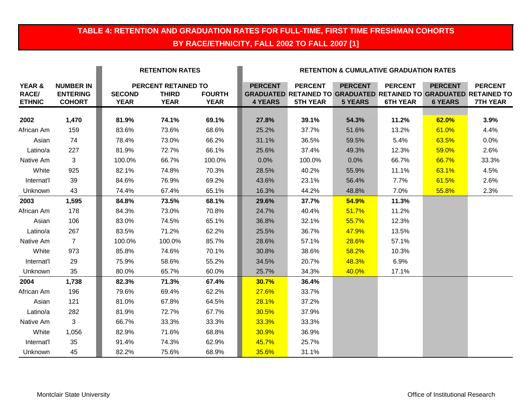## **TABLE 4: RETENTION AND GRADUATION RATES FOR FULL-TIME, FIRST TIME FRESHMAN COHORTS BY RACE/ETHNICITY, FALL 2002 TO FALL 2007 [1]**

|                                         |                                                      | <b>RETENTION RATES</b>       |                                                    |                              | <b>RETENTION &amp; CUMULATIVE GRADUATION RATES</b> |                                   |                                  |                                   |                                  |                                                                                                               |
|-----------------------------------------|------------------------------------------------------|------------------------------|----------------------------------------------------|------------------------------|----------------------------------------------------|-----------------------------------|----------------------------------|-----------------------------------|----------------------------------|---------------------------------------------------------------------------------------------------------------|
| YEAR &<br><b>RACE/</b><br><b>ETHNIC</b> | <b>NUMBER IN</b><br><b>ENTERING</b><br><b>COHORT</b> | <b>SECOND</b><br><b>YEAR</b> | PERCENT RETAINED TO<br><b>THIRD</b><br><b>YEAR</b> | <b>FOURTH</b><br><b>YEAR</b> | <b>PERCENT</b><br><b>4 YEARS</b>                   | <b>PERCENT</b><br><b>5TH YEAR</b> | <b>PERCENT</b><br><b>5 YEARS</b> | <b>PERCENT</b><br><b>6TH YEAR</b> | <b>PERCENT</b><br><b>6 YEARS</b> | <b>PERCENT</b><br><b>GRADUATED RETAINED TO GRADUATED RETAINED TO GRADUATED RETAINED TO</b><br><b>7TH YEAR</b> |
| 2002                                    | 1,470                                                | 81.9%                        | 74.1%                                              | 69.1%                        | 27.8%                                              | 39.1%                             | 54.3%                            | 11.2%                             | 62.0%                            | 3.9%                                                                                                          |
| African Am                              | 159                                                  | 83.6%                        | 73.6%                                              | 68.6%                        | 25.2%                                              | 37.7%                             | 51.6%                            | 13.2%                             | 61.0%                            | 4.4%                                                                                                          |
| Asian                                   | 74                                                   | 78.4%                        | 73.0%                                              | 66.2%                        | 31.1%                                              | 36.5%                             | 59.5%                            | 5.4%                              | 63.5%                            | 0.0%                                                                                                          |
| Latino/a                                | 227                                                  | 81.9%                        | 72.7%                                              | 66.1%                        | 25.6%                                              | 37.4%                             | 49.3%                            | 12.3%                             | 59.0%                            | 2.6%                                                                                                          |
| Native Am                               | 3                                                    | 100.0%                       | 66.7%                                              | 100.0%                       | 0.0%                                               | 100.0%                            | 0.0%                             | 66.7%                             | 66.7%                            | 33.3%                                                                                                         |
| White                                   | 925                                                  | 82.1%                        | 74.8%                                              | 70.3%                        | 28.5%                                              | 40.2%                             | 55.9%                            | 11.1%                             | 63.1%                            | 4.5%                                                                                                          |
| Internat'l                              | 39                                                   | 84.6%                        | 76.9%                                              | 69.2%                        | 43.6%                                              | 23.1%                             | 56.4%                            | 7.7%                              | 61.5%                            | 2.6%                                                                                                          |
| Unknown                                 | 43                                                   | 74.4%                        | 67.4%                                              | 65.1%                        | 16.3%                                              | 44.2%                             | 48.8%                            | 7.0%                              | 55.8%                            | 2.3%                                                                                                          |
| 2003                                    | 1,595                                                | 84.8%                        | 73.5%                                              | 68.1%                        | 29.6%                                              | 37.7%                             | 54.9%                            | 11.3%                             |                                  |                                                                                                               |
| African Am                              | 178                                                  | 84.3%                        | 73.0%                                              | 70.8%                        | 24.7%                                              | 40.4%                             | 51.7%                            | 11.2%                             |                                  |                                                                                                               |
| Asian                                   | 106                                                  | 83.0%                        | 74.5%                                              | 65.1%                        | 36.8%                                              | 32.1%                             | 55.7%                            | 12.3%                             |                                  |                                                                                                               |
| Latino/a                                | 267                                                  | 83.5%                        | 71.2%                                              | 62.2%                        | 25.5%                                              | 36.7%                             | 47.9%                            | 13.5%                             |                                  |                                                                                                               |
| Native Am                               | $\overline{7}$                                       | 100.0%                       | 100.0%                                             | 85.7%                        | 28.6%                                              | 57.1%                             | 28.6%                            | 57.1%                             |                                  |                                                                                                               |
| White                                   | 973                                                  | 85.8%                        | 74.6%                                              | 70.1%                        | 30.8%                                              | 38.6%                             | 58.2%                            | 10.3%                             |                                  |                                                                                                               |
| Internat'l                              | 29                                                   | 75.9%                        | 58.6%                                              | 55.2%                        | 34.5%                                              | 20.7%                             | 48.3%                            | 6.9%                              |                                  |                                                                                                               |
| Unknown                                 | 35                                                   | 80.0%                        | 65.7%                                              | 60.0%                        | 25.7%                                              | 34.3%                             | 40.0%                            | 17.1%                             |                                  |                                                                                                               |
| 2004                                    | 1,738                                                | 82.3%                        | 71.3%                                              | 67.4%                        | <b>30.7%</b>                                       | 36.4%                             |                                  |                                   |                                  |                                                                                                               |
| African Am                              | 196                                                  | 79.6%                        | 69.4%                                              | 62.2%                        | 27.6%                                              | 33.7%                             |                                  |                                   |                                  |                                                                                                               |
| Asian                                   | 121                                                  | 81.0%                        | 67.8%                                              | 64.5%                        | 28.1%                                              | 37.2%                             |                                  |                                   |                                  |                                                                                                               |
| Latino/a                                | 282                                                  | 81.9%                        | 72.7%                                              | 67.7%                        | 30.5%                                              | 37.9%                             |                                  |                                   |                                  |                                                                                                               |
| Native Am                               | 3 <sup>1</sup>                                       | 66.7%                        | 33.3%                                              | 33.3%                        | 33.3%                                              | 33.3%                             |                                  |                                   |                                  |                                                                                                               |
| White                                   | 1,056                                                | 82.9%                        | 71.6%                                              | 68.8%                        | 30.9%                                              | 36.9%                             |                                  |                                   |                                  |                                                                                                               |
| Internat'l                              | 35                                                   | 91.4%                        | 74.3%                                              | 62.9%                        | 45.7%                                              | 25.7%                             |                                  |                                   |                                  |                                                                                                               |
| Unknown                                 | 45                                                   | 82.2%                        | 75.6%                                              | 68.9%                        | 35.6%                                              | 31.1%                             |                                  |                                   |                                  |                                                                                                               |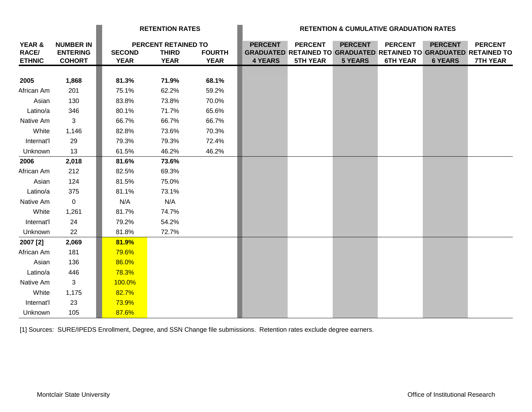|                                                    |                                                      | <b>RETENTION RATES</b>       |                                                    | <b>RETENTION &amp; CUMULATIVE GRADUATION RATES</b> |                                  |                                   |                                  |                                   |                                  |                                                                                                               |
|----------------------------------------------------|------------------------------------------------------|------------------------------|----------------------------------------------------|----------------------------------------------------|----------------------------------|-----------------------------------|----------------------------------|-----------------------------------|----------------------------------|---------------------------------------------------------------------------------------------------------------|
| <b>YEAR &amp;</b><br><b>RACE/</b><br><b>ETHNIC</b> | <b>NUMBER IN</b><br><b>ENTERING</b><br><b>COHORT</b> | <b>SECOND</b><br><b>YEAR</b> | PERCENT RETAINED TO<br><b>THIRD</b><br><b>YEAR</b> | <b>FOURTH</b><br><b>YEAR</b>                       | <b>PERCENT</b><br><b>4 YEARS</b> | <b>PERCENT</b><br><b>5TH YEAR</b> | <b>PERCENT</b><br><b>5 YEARS</b> | <b>PERCENT</b><br><b>6TH YEAR</b> | <b>PERCENT</b><br><b>6 YEARS</b> | <b>PERCENT</b><br><b>GRADUATED RETAINED TO GRADUATED RETAINED TO GRADUATED RETAINED TO</b><br><b>7TH YEAR</b> |
| 2005                                               | 1,868                                                | 81.3%                        | 71.9%                                              | 68.1%                                              |                                  |                                   |                                  |                                   |                                  |                                                                                                               |
| African Am                                         | 201                                                  | 75.1%                        | 62.2%                                              | 59.2%                                              |                                  |                                   |                                  |                                   |                                  |                                                                                                               |
| Asian                                              | 130                                                  | 83.8%                        | 73.8%                                              | 70.0%                                              |                                  |                                   |                                  |                                   |                                  |                                                                                                               |
| Latino/a                                           | 346                                                  | 80.1%                        | 71.7%                                              | 65.6%                                              |                                  |                                   |                                  |                                   |                                  |                                                                                                               |
| Native Am                                          | 3                                                    | 66.7%                        | 66.7%                                              | 66.7%                                              |                                  |                                   |                                  |                                   |                                  |                                                                                                               |
| White                                              | 1,146                                                | 82.8%                        | 73.6%                                              | 70.3%                                              |                                  |                                   |                                  |                                   |                                  |                                                                                                               |
| Internat'l                                         | 29                                                   | 79.3%                        | 79.3%                                              | 72.4%                                              |                                  |                                   |                                  |                                   |                                  |                                                                                                               |
| Unknown                                            | 13                                                   | 61.5%                        | 46.2%                                              | 46.2%                                              |                                  |                                   |                                  |                                   |                                  |                                                                                                               |
| 2006                                               | 2,018                                                | 81.6%                        | 73.6%                                              |                                                    |                                  |                                   |                                  |                                   |                                  |                                                                                                               |
| African Am                                         | 212                                                  | 82.5%                        | 69.3%                                              |                                                    |                                  |                                   |                                  |                                   |                                  |                                                                                                               |
| Asian                                              | 124                                                  | 81.5%                        | 75.0%                                              |                                                    |                                  |                                   |                                  |                                   |                                  |                                                                                                               |
| Latino/a                                           | 375                                                  | 81.1%                        | 73.1%                                              |                                                    |                                  |                                   |                                  |                                   |                                  |                                                                                                               |
| Native Am                                          | $\mathbf 0$                                          | N/A                          | N/A                                                |                                                    |                                  |                                   |                                  |                                   |                                  |                                                                                                               |
| White                                              | 1,261                                                | 81.7%                        | 74.7%                                              |                                                    |                                  |                                   |                                  |                                   |                                  |                                                                                                               |
| Internat'l                                         | 24                                                   | 79.2%                        | 54.2%                                              |                                                    |                                  |                                   |                                  |                                   |                                  |                                                                                                               |
| Unknown                                            | 22                                                   | 81.8%                        | 72.7%                                              |                                                    |                                  |                                   |                                  |                                   |                                  |                                                                                                               |
| 2007 [2]                                           | 2,069                                                | 81.9%                        |                                                    |                                                    |                                  |                                   |                                  |                                   |                                  |                                                                                                               |
| African Am                                         | 181                                                  | 79.6%                        |                                                    |                                                    |                                  |                                   |                                  |                                   |                                  |                                                                                                               |
| Asian                                              | 136                                                  | 86.0%                        |                                                    |                                                    |                                  |                                   |                                  |                                   |                                  |                                                                                                               |
| Latino/a                                           | 446                                                  | 78.3%                        |                                                    |                                                    |                                  |                                   |                                  |                                   |                                  |                                                                                                               |
| Native Am                                          | 3                                                    | 100.0%                       |                                                    |                                                    |                                  |                                   |                                  |                                   |                                  |                                                                                                               |
| White                                              | 1,175                                                | 82.7%                        |                                                    |                                                    |                                  |                                   |                                  |                                   |                                  |                                                                                                               |
| Internat'l                                         | 23                                                   | 73.9%                        |                                                    |                                                    |                                  |                                   |                                  |                                   |                                  |                                                                                                               |
| Unknown                                            | 105                                                  | 87.6%                        |                                                    |                                                    |                                  |                                   |                                  |                                   |                                  |                                                                                                               |

[1] Sources: SURE/IPEDS Enrollment, Degree, and SSN Change file submissions. Retention rates exclude degree earners.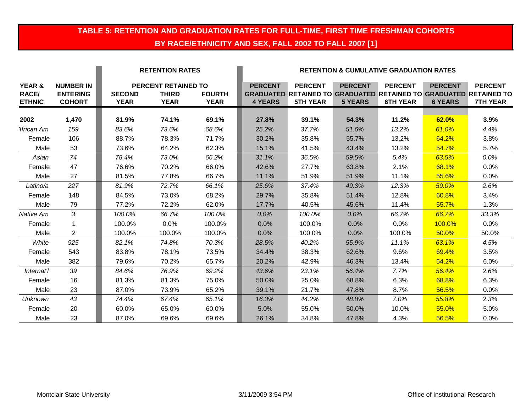## **TABLE 5: RETENTION AND GRADUATION RATES FOR FULL-TIME, FIRST TIME FRESHMAN COHORTS BY RACE/ETHNICITY AND SEX, FALL 2002 TO FALL 2007 [1]**

|                        |                                     | <b>RETENTION RATES</b> |                                            |               | <b>RETENTION &amp; CUMULATIVE GRADUATION RATES</b> |                                                                                            |                |                 |                |                 |
|------------------------|-------------------------------------|------------------------|--------------------------------------------|---------------|----------------------------------------------------|--------------------------------------------------------------------------------------------|----------------|-----------------|----------------|-----------------|
| YEAR &<br><b>RACE/</b> | <b>NUMBER IN</b><br><b>ENTERING</b> | <b>SECOND</b>          | <b>PERCENT RETAINED TO</b><br><b>THIRD</b> | <b>FOURTH</b> | <b>PERCENT</b>                                     | <b>PERCENT</b><br><b>GRADUATED RETAINED TO GRADUATED RETAINED TO GRADUATED RETAINED TO</b> | <b>PERCENT</b> | <b>PERCENT</b>  | <b>PERCENT</b> | <b>PERCENT</b>  |
| <b>ETHNIC</b>          | <b>COHORT</b>                       | <b>YEAR</b>            | <b>YEAR</b>                                | <b>YEAR</b>   | <b>4 YEARS</b>                                     | <b>5TH YEAR</b>                                                                            | <b>5 YEARS</b> | <b>6TH YEAR</b> | <b>6 YEARS</b> | <b>7TH YEAR</b> |
| 2002                   | 1,470                               | 81.9%                  | 74.1%                                      | 69.1%         | 27.8%                                              | 39.1%                                                                                      | 54.3%          | 11.2%           | 62.0%          | 3.9%            |
| African Am             | 159                                 | 83.6%                  | 73.6%                                      | 68.6%         | 25.2%                                              | 37.7%                                                                                      | 51.6%          | 13.2%           | 61.0%          | 4.4%            |
| Female                 | 106                                 | 88.7%                  | 78.3%                                      | 71.7%         | 30.2%                                              | 35.8%                                                                                      | 55.7%          | 13.2%           | 64.2%          | 3.8%            |
| Male                   | 53                                  | 73.6%                  | 64.2%                                      | 62.3%         | 15.1%                                              | 41.5%                                                                                      | 43.4%          | 13.2%           | 54.7%          | 5.7%            |
| Asian                  | 74                                  | 78.4%                  | 73.0%                                      | 66.2%         | 31.1%                                              | 36.5%                                                                                      | 59.5%          | 5.4%            | 63.5%          | $0.0\%$         |
| Female                 | 47                                  | 76.6%                  | 70.2%                                      | 66.0%         | 42.6%                                              | 27.7%                                                                                      | 63.8%          | 2.1%            | 68.1%          | 0.0%            |
| Male                   | 27                                  | 81.5%                  | 77.8%                                      | 66.7%         | 11.1%                                              | 51.9%                                                                                      | 51.9%          | 11.1%           | 55.6%          | 0.0%            |
| Latino/a               | 227                                 | 81.9%                  | 72.7%                                      | 66.1%         | 25.6%                                              | 37.4%                                                                                      | 49.3%          | 12.3%           | 59.0%          | 2.6%            |
| Female                 | 148                                 | 84.5%                  | 73.0%                                      | 68.2%         | 29.7%                                              | 35.8%                                                                                      | 51.4%          | 12.8%           | 60.8%          | 3.4%            |
| Male                   | 79                                  | 77.2%                  | 72.2%                                      | 62.0%         | 17.7%                                              | 40.5%                                                                                      | 45.6%          | 11.4%           | 55.7%          | 1.3%            |
| Native Am              | 3                                   | 100.0%                 | 66.7%                                      | 100.0%        | 0.0%                                               | 100.0%                                                                                     | 0.0%           | 66.7%           | 66.7%          | 33.3%           |
| Female                 | 1                                   | 100.0%                 | 0.0%                                       | 100.0%        | 0.0%                                               | 100.0%                                                                                     | 0.0%           | 0.0%            | 100.0%         | 0.0%            |
| Male                   | $\overline{2}$                      | 100.0%                 | 100.0%                                     | 100.0%        | 0.0%                                               | 100.0%                                                                                     | 0.0%           | 100.0%          | 50.0%          | 50.0%           |
| White                  | 925                                 | 82.1%                  | 74.8%                                      | 70.3%         | 28.5%                                              | 40.2%                                                                                      | 55.9%          | 11.1%           | 63.1%          | 4.5%            |
| Female                 | 543                                 | 83.8%                  | 78.1%                                      | 73.5%         | 34.4%                                              | 38.3%                                                                                      | 62.6%          | 9.6%            | 69.4%          | 3.5%            |
| Male                   | 382                                 | 79.6%                  | 70.2%                                      | 65.7%         | 20.2%                                              | 42.9%                                                                                      | 46.3%          | 13.4%           | 54.2%          | 6.0%            |
| Internat'l             | 39                                  | 84.6%                  | 76.9%                                      | 69.2%         | 43.6%                                              | 23.1%                                                                                      | 56.4%          | 7.7%            | 56.4%          | 2.6%            |
| Female                 | 16                                  | 81.3%                  | 81.3%                                      | 75.0%         | 50.0%                                              | 25.0%                                                                                      | 68.8%          | 6.3%            | 68.8%          | 6.3%            |
| Male                   | 23                                  | 87.0%                  | 73.9%                                      | 65.2%         | 39.1%                                              | 21.7%                                                                                      | 47.8%          | 8.7%            | 56.5%          | 0.0%            |
| <b>Unknown</b>         | 43                                  | 74.4%                  | 67.4%                                      | 65.1%         | 16.3%                                              | 44.2%                                                                                      | 48.8%          | 7.0%            | 55.8%          | 2.3%            |
| Female                 | 20                                  | 60.0%                  | 65.0%                                      | 60.0%         | 5.0%                                               | 55.0%                                                                                      | 50.0%          | 10.0%           | 55.0%          | 5.0%            |
| Male                   | 23                                  | 87.0%                  | 69.6%                                      | 69.6%         | 26.1%                                              | 34.8%                                                                                      | 47.8%          | 4.3%            | 56.5%          | 0.0%            |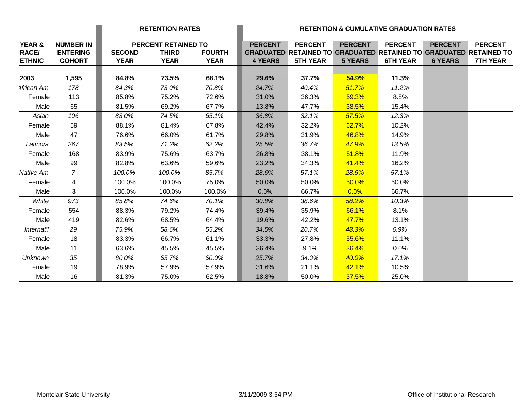|                                         |                                                      |                              | <b>RETENTION RATES</b>                                    |                              | <b>RETENTION &amp; CUMULATIVE GRADUATION RATES</b> |                                                                                                               |                                  |                                   |                                  |                                   |
|-----------------------------------------|------------------------------------------------------|------------------------------|-----------------------------------------------------------|------------------------------|----------------------------------------------------|---------------------------------------------------------------------------------------------------------------|----------------------------------|-----------------------------------|----------------------------------|-----------------------------------|
| YEAR &<br><b>RACE/</b><br><b>ETHNIC</b> | <b>NUMBER IN</b><br><b>ENTERING</b><br><b>COHORT</b> | <b>SECOND</b><br><b>YEAR</b> | <b>PERCENT RETAINED TO</b><br><b>THIRD</b><br><b>YEAR</b> | <b>FOURTH</b><br><b>YEAR</b> | <b>PERCENT</b><br><b>4 YEARS</b>                   | <b>PERCENT</b><br><b>GRADUATED RETAINED TO GRADUATED RETAINED TO GRADUATED RETAINED TO</b><br><b>5TH YEAR</b> | <b>PERCENT</b><br><b>5 YEARS</b> | <b>PERCENT</b><br><b>6TH YEAR</b> | <b>PERCENT</b><br><b>6 YEARS</b> | <b>PERCENT</b><br><b>7TH YEAR</b> |
|                                         |                                                      |                              |                                                           |                              |                                                    |                                                                                                               |                                  |                                   |                                  |                                   |
| 2003                                    | 1,595                                                | 84.8%                        | 73.5%                                                     | 68.1%                        | 29.6%                                              | 37.7%                                                                                                         | 54.9%                            | 11.3%                             |                                  |                                   |
| African Am                              | 178                                                  | 84.3%                        | 73.0%                                                     | 70.8%                        | 24.7%                                              | 40.4%                                                                                                         | 51.7%                            | 11.2%                             |                                  |                                   |
| Female                                  | 113                                                  | 85.8%                        | 75.2%                                                     | 72.6%                        | 31.0%                                              | 36.3%                                                                                                         | 59.3%                            | 8.8%                              |                                  |                                   |
| Male                                    | 65                                                   | 81.5%                        | 69.2%                                                     | 67.7%                        | 13.8%                                              | 47.7%                                                                                                         | 38.5%                            | 15.4%                             |                                  |                                   |
| Asian                                   | 106                                                  | 83.0%                        | 74.5%                                                     | 65.1%                        | 36.8%                                              | 32.1%                                                                                                         | 57.5%                            | 12.3%                             |                                  |                                   |
| Female                                  | 59                                                   | 88.1%                        | 81.4%                                                     | 67.8%                        | 42.4%                                              | 32.2%                                                                                                         | 62.7%                            | 10.2%                             |                                  |                                   |
| Male                                    | 47                                                   | 76.6%                        | 66.0%                                                     | 61.7%                        | 29.8%                                              | 31.9%                                                                                                         | 46.8%                            | 14.9%                             |                                  |                                   |
| Latino/a                                | 267                                                  | 83.5%                        | 71.2%                                                     | 62.2%                        | 25.5%                                              | 36.7%                                                                                                         | 47.9%                            | 13.5%                             |                                  |                                   |
| Female                                  | 168                                                  | 83.9%                        | 75.6%                                                     | 63.7%                        | 26.8%                                              | 38.1%                                                                                                         | 51.8%                            | 11.9%                             |                                  |                                   |
| Male                                    | 99                                                   | 82.8%                        | 63.6%                                                     | 59.6%                        | 23.2%                                              | 34.3%                                                                                                         | 41.4%                            | 16.2%                             |                                  |                                   |
| Native Am                               | $\overline{7}$                                       | 100.0%                       | 100.0%                                                    | 85.7%                        | 28.6%                                              | 57.1%                                                                                                         | 28.6%                            | 57.1%                             |                                  |                                   |
| Female                                  | 4                                                    | 100.0%                       | 100.0%                                                    | 75.0%                        | 50.0%                                              | 50.0%                                                                                                         | 50.0%                            | 50.0%                             |                                  |                                   |
| Male                                    | 3                                                    | 100.0%                       | 100.0%                                                    | 100.0%                       | 0.0%                                               | 66.7%                                                                                                         | 0.0%                             | 66.7%                             |                                  |                                   |
| White                                   | 973                                                  | 85.8%                        | 74.6%                                                     | 70.1%                        | 30.8%                                              | 38.6%                                                                                                         | 58.2%                            | 10.3%                             |                                  |                                   |
| Female                                  | 554                                                  | 88.3%                        | 79.2%                                                     | 74.4%                        | 39.4%                                              | 35.9%                                                                                                         | 66.1%                            | 8.1%                              |                                  |                                   |
| Male                                    | 419                                                  | 82.6%                        | 68.5%                                                     | 64.4%                        | 19.6%                                              | 42.2%                                                                                                         | 47.7%                            | 13.1%                             |                                  |                                   |
| Internat'l                              | 29                                                   | 75.9%                        | 58.6%                                                     | 55.2%                        | 34.5%                                              | 20.7%                                                                                                         | 48.3%                            | 6.9%                              |                                  |                                   |
| Female                                  | 18                                                   | 83.3%                        | 66.7%                                                     | 61.1%                        | 33.3%                                              | 27.8%                                                                                                         | 55.6%                            | 11.1%                             |                                  |                                   |
| Male                                    | 11                                                   | 63.6%                        | 45.5%                                                     | 45.5%                        | 36.4%                                              | 9.1%                                                                                                          | 36.4%                            | 0.0%                              |                                  |                                   |
| <b>Unknown</b>                          | 35                                                   | 80.0%                        | 65.7%                                                     | 60.0%                        | 25.7%                                              | 34.3%                                                                                                         | 40.0%                            | 17.1%                             |                                  |                                   |
| Female                                  | 19                                                   | 78.9%                        | 57.9%                                                     | 57.9%                        | 31.6%                                              | 21.1%                                                                                                         | 42.1%                            | 10.5%                             |                                  |                                   |
| Male                                    | 16                                                   | 81.3%                        | 75.0%                                                     | 62.5%                        | 18.8%                                              | 50.0%                                                                                                         | 37.5%                            | 25.0%                             |                                  |                                   |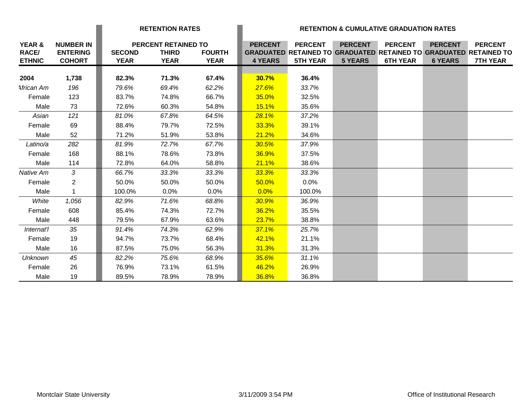|                               |                                  | <b>RETENTION RATES</b>       |                             |                              |                |                                                                                             |                | <b>RETENTION &amp; CUMULATIVE GRADUATION RATES</b> |                |                 |
|-------------------------------|----------------------------------|------------------------------|-----------------------------|------------------------------|----------------|---------------------------------------------------------------------------------------------|----------------|----------------------------------------------------|----------------|-----------------|
| YEAR &                        | <b>NUMBER IN</b>                 |                              | PERCENT RETAINED TO         |                              | <b>PERCENT</b> | <b>PERCENT</b>                                                                              | <b>PERCENT</b> | <b>PERCENT</b>                                     | <b>PERCENT</b> | <b>PERCENT</b>  |
| <b>RACE/</b><br><b>ETHNIC</b> | <b>ENTERING</b><br><b>COHORT</b> | <b>SECOND</b><br><b>YEAR</b> | <b>THIRD</b><br><b>YEAR</b> | <b>FOURTH</b><br><b>YEAR</b> | <b>4 YEARS</b> | <b>GRADUATED RETAINED TO GRADUATED RETAINED TO GRADUATED RETAINED TO</b><br><b>5TH YEAR</b> | <b>5 YEARS</b> | <b>6TH YEAR</b>                                    | <b>6 YEARS</b> | <b>7TH YEAR</b> |
|                               |                                  |                              |                             |                              |                |                                                                                             |                |                                                    |                |                 |
| 2004                          | 1,738                            | 82.3%                        | 71.3%                       | 67.4%                        | 30.7%          | 36.4%                                                                                       |                |                                                    |                |                 |
| African Am                    | 196                              | 79.6%                        | 69.4%                       | 62.2%                        | <b>27.6%</b>   | 33.7%                                                                                       |                |                                                    |                |                 |
| Female                        | 123                              | 83.7%                        | 74.8%                       | 66.7%                        | 35.0%          | 32.5%                                                                                       |                |                                                    |                |                 |
| Male                          | 73                               | 72.6%                        | 60.3%                       | 54.8%                        | 15.1%          | 35.6%                                                                                       |                |                                                    |                |                 |
| Asian                         | 121                              | 81.0%                        | 67.8%                       | 64.5%                        | 28.1%          | 37.2%                                                                                       |                |                                                    |                |                 |
| Female                        | 69                               | 88.4%                        | 79.7%                       | 72.5%                        | 33.3%          | 39.1%                                                                                       |                |                                                    |                |                 |
| Male                          | 52                               | 71.2%                        | 51.9%                       | 53.8%                        | 21.2%          | 34.6%                                                                                       |                |                                                    |                |                 |
| Latino/a                      | 282                              | 81.9%                        | 72.7%                       | 67.7%                        | 30.5%          | 37.9%                                                                                       |                |                                                    |                |                 |
| Female                        | 168                              | 88.1%                        | 78.6%                       | 73.8%                        | 36.9%          | 37.5%                                                                                       |                |                                                    |                |                 |
| Male                          | 114                              | 72.8%                        | 64.0%                       | 58.8%                        | 21.1%          | 38.6%                                                                                       |                |                                                    |                |                 |
| Native Am                     | $\mathcal{S}$                    | 66.7%                        | 33.3%                       | 33.3%                        | 33.3%          | 33.3%                                                                                       |                |                                                    |                |                 |
| Female                        | $\overline{2}$                   | 50.0%                        | 50.0%                       | 50.0%                        | 50.0%          | 0.0%                                                                                        |                |                                                    |                |                 |
| Male                          | $\mathbf{1}$                     | 100.0%                       | 0.0%                        | $0.0\%$                      | 0.0%           | 100.0%                                                                                      |                |                                                    |                |                 |
| White                         | 1,056                            | 82.9%                        | 71.6%                       | 68.8%                        | 30.9%          | 36.9%                                                                                       |                |                                                    |                |                 |
| Female                        | 608                              | 85.4%                        | 74.3%                       | 72.7%                        | 36.2%          | 35.5%                                                                                       |                |                                                    |                |                 |
| Male                          | 448                              | 79.5%                        | 67.9%                       | 63.6%                        | 23.7%          | 38.8%                                                                                       |                |                                                    |                |                 |
| Internat'l                    | 35                               | 91.4%                        | 74.3%                       | 62.9%                        | 37.1%          | 25.7%                                                                                       |                |                                                    |                |                 |
| Female                        | 19                               | 94.7%                        | 73.7%                       | 68.4%                        | 42.1%          | 21.1%                                                                                       |                |                                                    |                |                 |
| Male                          | 16                               | 87.5%                        | 75.0%                       | 56.3%                        | 31.3%          | 31.3%                                                                                       |                |                                                    |                |                 |
| <b>Unknown</b>                | 45                               | 82.2%                        | 75.6%                       | 68.9%                        | 35.6%          | 31.1%                                                                                       |                |                                                    |                |                 |
| Female                        | 26                               | 76.9%                        | 73.1%                       | 61.5%                        | 46.2%          | 26.9%                                                                                       |                |                                                    |                |                 |
| Male                          | 19                               | 89.5%                        | 78.9%                       | 78.9%                        | 36.8%          | 36.8%                                                                                       |                |                                                    |                |                 |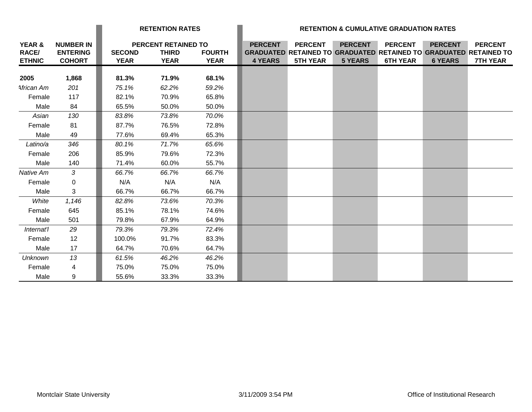|                                                    |                                                      |                              | <b>RETENTION RATES</b>                                    |                              |                                  |                                                                                                               |                                  | <b>RETENTION &amp; CUMULATIVE GRADUATION RATES</b> |                                  |                                   |
|----------------------------------------------------|------------------------------------------------------|------------------------------|-----------------------------------------------------------|------------------------------|----------------------------------|---------------------------------------------------------------------------------------------------------------|----------------------------------|----------------------------------------------------|----------------------------------|-----------------------------------|
| <b>YEAR &amp;</b><br><b>RACE/</b><br><b>ETHNIC</b> | <b>NUMBER IN</b><br><b>ENTERING</b><br><b>COHORT</b> | <b>SECOND</b><br><b>YEAR</b> | <b>PERCENT RETAINED TO</b><br><b>THIRD</b><br><b>YEAR</b> | <b>FOURTH</b><br><b>YEAR</b> | <b>PERCENT</b><br><b>4 YEARS</b> | <b>PERCENT</b><br><b>GRADUATED RETAINED TO GRADUATED RETAINED TO GRADUATED RETAINED TO</b><br><b>5TH YEAR</b> | <b>PERCENT</b><br><b>5 YEARS</b> | <b>PERCENT</b><br><b>6TH YEAR</b>                  | <b>PERCENT</b><br><b>6 YEARS</b> | <b>PERCENT</b><br><b>7TH YEAR</b> |
|                                                    |                                                      |                              |                                                           |                              |                                  |                                                                                                               |                                  |                                                    |                                  |                                   |
| 2005                                               | 1,868                                                | 81.3%                        | 71.9%                                                     | 68.1%                        |                                  |                                                                                                               |                                  |                                                    |                                  |                                   |
| African Am                                         | 201                                                  | 75.1%                        | 62.2%                                                     | 59.2%                        |                                  |                                                                                                               |                                  |                                                    |                                  |                                   |
| Female                                             | 117                                                  | 82.1%                        | 70.9%                                                     | 65.8%                        |                                  |                                                                                                               |                                  |                                                    |                                  |                                   |
| Male                                               | 84                                                   | 65.5%                        | 50.0%                                                     | 50.0%                        |                                  |                                                                                                               |                                  |                                                    |                                  |                                   |
| Asian                                              | 130                                                  | 83.8%                        | 73.8%                                                     | 70.0%                        |                                  |                                                                                                               |                                  |                                                    |                                  |                                   |
| Female                                             | 81                                                   | 87.7%                        | 76.5%                                                     | 72.8%                        |                                  |                                                                                                               |                                  |                                                    |                                  |                                   |
| Male                                               | 49                                                   | 77.6%                        | 69.4%                                                     | 65.3%                        |                                  |                                                                                                               |                                  |                                                    |                                  |                                   |
| Latino/a                                           | 346                                                  | 80.1%                        | 71.7%                                                     | 65.6%                        |                                  |                                                                                                               |                                  |                                                    |                                  |                                   |
| Female                                             | 206                                                  | 85.9%                        | 79.6%                                                     | 72.3%                        |                                  |                                                                                                               |                                  |                                                    |                                  |                                   |
| Male                                               | 140                                                  | 71.4%                        | 60.0%                                                     | 55.7%                        |                                  |                                                                                                               |                                  |                                                    |                                  |                                   |
| Native Am                                          | $\mathcal{S}$                                        | 66.7%                        | 66.7%                                                     | 66.7%                        |                                  |                                                                                                               |                                  |                                                    |                                  |                                   |
| Female                                             | 0                                                    | N/A                          | N/A                                                       | N/A                          |                                  |                                                                                                               |                                  |                                                    |                                  |                                   |
| Male                                               | 3                                                    | 66.7%                        | 66.7%                                                     | 66.7%                        |                                  |                                                                                                               |                                  |                                                    |                                  |                                   |
| White                                              | 1,146                                                | 82.8%                        | 73.6%                                                     | 70.3%                        |                                  |                                                                                                               |                                  |                                                    |                                  |                                   |
| Female                                             | 645                                                  | 85.1%                        | 78.1%                                                     | 74.6%                        |                                  |                                                                                                               |                                  |                                                    |                                  |                                   |
| Male                                               | 501                                                  | 79.8%                        | 67.9%                                                     | 64.9%                        |                                  |                                                                                                               |                                  |                                                    |                                  |                                   |
| Internat'l                                         | 29                                                   | 79.3%                        | 79.3%                                                     | 72.4%                        |                                  |                                                                                                               |                                  |                                                    |                                  |                                   |
| Female                                             | 12                                                   | 100.0%                       | 91.7%                                                     | 83.3%                        |                                  |                                                                                                               |                                  |                                                    |                                  |                                   |
| Male                                               | 17                                                   | 64.7%                        | 70.6%                                                     | 64.7%                        |                                  |                                                                                                               |                                  |                                                    |                                  |                                   |
| <b>Unknown</b>                                     | 13                                                   | 61.5%                        | 46.2%                                                     | 46.2%                        |                                  |                                                                                                               |                                  |                                                    |                                  |                                   |
| Female                                             | 4                                                    | 75.0%                        | 75.0%                                                     | 75.0%                        |                                  |                                                                                                               |                                  |                                                    |                                  |                                   |
| Male                                               | 9                                                    | 55.6%                        | 33.3%                                                     | 33.3%                        |                                  |                                                                                                               |                                  |                                                    |                                  |                                   |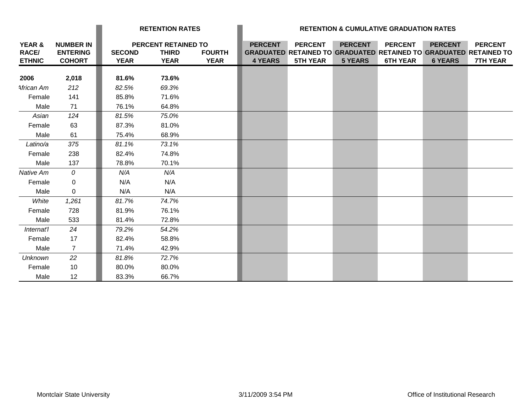|                                  |                                                      | <b>RETENTION RATES</b>       |                                                    |                              | <b>RETENTION &amp; CUMULATIVE GRADUATION RATES</b> |                                                                                                               |                                  |                                   |                                  |                                   |
|----------------------------------|------------------------------------------------------|------------------------------|----------------------------------------------------|------------------------------|----------------------------------------------------|---------------------------------------------------------------------------------------------------------------|----------------------------------|-----------------------------------|----------------------------------|-----------------------------------|
| YEAR &<br>RACE/<br><b>ETHNIC</b> | <b>NUMBER IN</b><br><b>ENTERING</b><br><b>COHORT</b> | <b>SECOND</b><br><b>YEAR</b> | PERCENT RETAINED TO<br><b>THIRD</b><br><b>YEAR</b> | <b>FOURTH</b><br><b>YEAR</b> | <b>PERCENT</b><br><b>4 YEARS</b>                   | <b>PERCENT</b><br><b>GRADUATED RETAINED TO GRADUATED RETAINED TO GRADUATED RETAINED TO</b><br><b>5TH YEAR</b> | <b>PERCENT</b><br><b>5 YEARS</b> | <b>PERCENT</b><br><b>6TH YEAR</b> | <b>PERCENT</b><br><b>6 YEARS</b> | <b>PERCENT</b><br><b>7TH YEAR</b> |
| 2006                             | 2,018                                                | 81.6%                        | 73.6%                                              |                              |                                                    |                                                                                                               |                                  |                                   |                                  |                                   |
| African Am                       | 212                                                  | 82.5%                        | 69.3%                                              |                              |                                                    |                                                                                                               |                                  |                                   |                                  |                                   |
| Female                           | 141                                                  | 85.8%                        | 71.6%                                              |                              |                                                    |                                                                                                               |                                  |                                   |                                  |                                   |
| Male                             | 71                                                   | 76.1%                        | 64.8%                                              |                              |                                                    |                                                                                                               |                                  |                                   |                                  |                                   |
| Asian                            | 124                                                  | 81.5%                        | 75.0%                                              |                              |                                                    |                                                                                                               |                                  |                                   |                                  |                                   |
| Female                           | 63                                                   | 87.3%                        | 81.0%                                              |                              |                                                    |                                                                                                               |                                  |                                   |                                  |                                   |
| Male                             | 61                                                   | 75.4%                        | 68.9%                                              |                              |                                                    |                                                                                                               |                                  |                                   |                                  |                                   |
| Latino/a                         | 375                                                  | 81.1%                        | 73.1%                                              |                              |                                                    |                                                                                                               |                                  |                                   |                                  |                                   |
| Female                           | 238                                                  | 82.4%                        | 74.8%                                              |                              |                                                    |                                                                                                               |                                  |                                   |                                  |                                   |
| Male                             | 137                                                  | 78.8%                        | 70.1%                                              |                              |                                                    |                                                                                                               |                                  |                                   |                                  |                                   |
| Native Am                        | 0                                                    | N/A                          | N/A                                                |                              |                                                    |                                                                                                               |                                  |                                   |                                  |                                   |
| Female                           | $\mathbf 0$                                          | N/A                          | N/A                                                |                              |                                                    |                                                                                                               |                                  |                                   |                                  |                                   |
| Male                             | $\mathbf 0$                                          | N/A                          | N/A                                                |                              |                                                    |                                                                                                               |                                  |                                   |                                  |                                   |
| White                            | 1,261                                                | 81.7%                        | 74.7%                                              |                              |                                                    |                                                                                                               |                                  |                                   |                                  |                                   |
| Female                           | 728                                                  | 81.9%                        | 76.1%                                              |                              |                                                    |                                                                                                               |                                  |                                   |                                  |                                   |
| Male                             | 533                                                  | 81.4%                        | 72.8%                                              |                              |                                                    |                                                                                                               |                                  |                                   |                                  |                                   |
| Internat'l                       | 24                                                   | 79.2%                        | 54.2%                                              |                              |                                                    |                                                                                                               |                                  |                                   |                                  |                                   |
| Female                           | 17                                                   | 82.4%                        | 58.8%                                              |                              |                                                    |                                                                                                               |                                  |                                   |                                  |                                   |
| Male                             | $\overline{7}$                                       | 71.4%                        | 42.9%                                              |                              |                                                    |                                                                                                               |                                  |                                   |                                  |                                   |
| <b>Unknown</b>                   | 22                                                   | 81.8%                        | 72.7%                                              |                              |                                                    |                                                                                                               |                                  |                                   |                                  |                                   |
| Female                           | 10                                                   | 80.0%                        | 80.0%                                              |                              |                                                    |                                                                                                               |                                  |                                   |                                  |                                   |
| Male                             | 12                                                   | 83.3%                        | 66.7%                                              |                              |                                                    |                                                                                                               |                                  |                                   |                                  |                                   |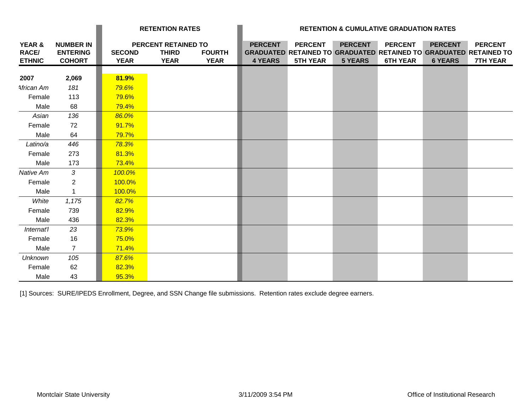|                                         |                                                      | <b>RETENTION RATES</b>       |                                                    |                              | <b>RETENTION &amp; CUMULATIVE GRADUATION RATES</b> |                                   |                                  |                                   |                                  |                                                                                                               |
|-----------------------------------------|------------------------------------------------------|------------------------------|----------------------------------------------------|------------------------------|----------------------------------------------------|-----------------------------------|----------------------------------|-----------------------------------|----------------------------------|---------------------------------------------------------------------------------------------------------------|
| YEAR &<br><b>RACE/</b><br><b>ETHNIC</b> | <b>NUMBER IN</b><br><b>ENTERING</b><br><b>COHORT</b> | <b>SECOND</b><br><b>YEAR</b> | PERCENT RETAINED TO<br><b>THIRD</b><br><b>YEAR</b> | <b>FOURTH</b><br><b>YEAR</b> | <b>PERCENT</b><br><b>4 YEARS</b>                   | <b>PERCENT</b><br><b>5TH YEAR</b> | <b>PERCENT</b><br><b>5 YEARS</b> | <b>PERCENT</b><br><b>6TH YEAR</b> | <b>PERCENT</b><br><b>6 YEARS</b> | <b>PERCENT</b><br><b>GRADUATED RETAINED TO GRADUATED RETAINED TO GRADUATED RETAINED TO</b><br><b>7TH YEAR</b> |
| 2007                                    | 2,069                                                | 81.9%                        |                                                    |                              |                                                    |                                   |                                  |                                   |                                  |                                                                                                               |
| African Am                              | 181                                                  | 79.6%                        |                                                    |                              |                                                    |                                   |                                  |                                   |                                  |                                                                                                               |
| Female                                  | 113                                                  | 79.6%                        |                                                    |                              |                                                    |                                   |                                  |                                   |                                  |                                                                                                               |
| Male                                    | 68                                                   | 79.4%                        |                                                    |                              |                                                    |                                   |                                  |                                   |                                  |                                                                                                               |
| Asian                                   | 136                                                  | 86.0%                        |                                                    |                              |                                                    |                                   |                                  |                                   |                                  |                                                                                                               |
| Female                                  | 72                                                   | 91.7%                        |                                                    |                              |                                                    |                                   |                                  |                                   |                                  |                                                                                                               |
| Male                                    | 64                                                   | 79.7%                        |                                                    |                              |                                                    |                                   |                                  |                                   |                                  |                                                                                                               |
| Latino/a                                | 446                                                  | 78.3%                        |                                                    |                              |                                                    |                                   |                                  |                                   |                                  |                                                                                                               |
| Female                                  | 273                                                  | 81.3%                        |                                                    |                              |                                                    |                                   |                                  |                                   |                                  |                                                                                                               |
| Male                                    | 173                                                  | 73.4%                        |                                                    |                              |                                                    |                                   |                                  |                                   |                                  |                                                                                                               |
| Native Am                               | 3                                                    | 100.0%                       |                                                    |                              |                                                    |                                   |                                  |                                   |                                  |                                                                                                               |
| Female                                  | $\overline{2}$                                       | 100.0%                       |                                                    |                              |                                                    |                                   |                                  |                                   |                                  |                                                                                                               |
| Male                                    | $\mathbf{1}$                                         | 100.0%                       |                                                    |                              |                                                    |                                   |                                  |                                   |                                  |                                                                                                               |
| White                                   | 1,175                                                | 82.7%                        |                                                    |                              |                                                    |                                   |                                  |                                   |                                  |                                                                                                               |
| Female                                  | 739                                                  | 82.9%                        |                                                    |                              |                                                    |                                   |                                  |                                   |                                  |                                                                                                               |
| Male                                    | 436                                                  | 82.3%                        |                                                    |                              |                                                    |                                   |                                  |                                   |                                  |                                                                                                               |
| Internat'l                              | 23                                                   | 73.9%                        |                                                    |                              |                                                    |                                   |                                  |                                   |                                  |                                                                                                               |
| Female                                  | 16                                                   | 75.0%                        |                                                    |                              |                                                    |                                   |                                  |                                   |                                  |                                                                                                               |
| Male                                    | $\overline{7}$                                       | 71.4%                        |                                                    |                              |                                                    |                                   |                                  |                                   |                                  |                                                                                                               |
| <b>Unknown</b>                          | 105                                                  | 87.6%                        |                                                    |                              |                                                    |                                   |                                  |                                   |                                  |                                                                                                               |
| Female                                  | 62                                                   | 82.3%                        |                                                    |                              |                                                    |                                   |                                  |                                   |                                  |                                                                                                               |
| Male                                    | 43                                                   | 95.3%                        |                                                    |                              |                                                    |                                   |                                  |                                   |                                  |                                                                                                               |

[1] Sources: SURE/IPEDS Enrollment, Degree, and SSN Change file submissions. Retention rates exclude degree earners.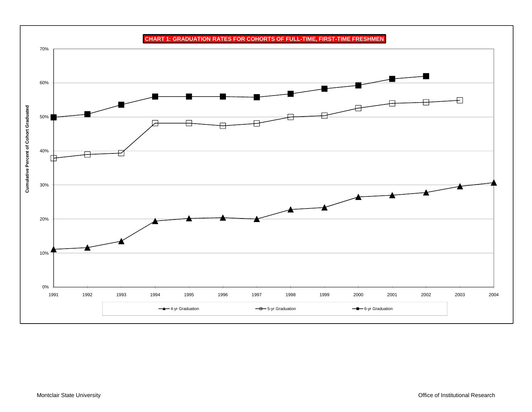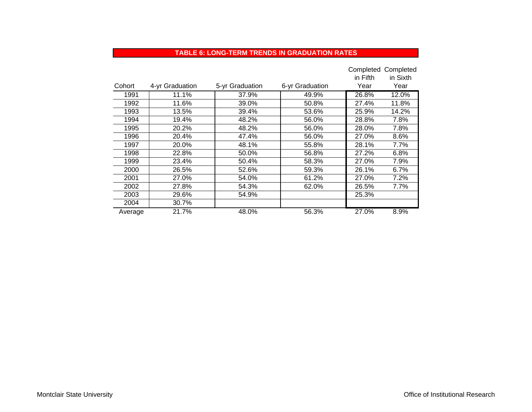#### **TABLE 6: LONG-TERM TRENDS IN GRADUATION RATES**

|         |                 |                 |                 |          | Completed Completed |
|---------|-----------------|-----------------|-----------------|----------|---------------------|
|         |                 |                 |                 | in Fifth | in Sixth            |
| Cohort  | 4-yr Graduation | 5-yr Graduation | 6-yr Graduation | Year     | Year                |
| 1991    | 11.1%           | 37.9%           | 49.9%           | 26.8%    | 12.0%               |
| 1992    | 11.6%           | 39.0%           | 50.8%           | 27.4%    | 11.8%               |
| 1993    | 13.5%           | 39.4%           | 53.6%           | 25.9%    | 14.2%               |
| 1994    | 19.4%           | 48.2%           | 56.0%           | 28.8%    | 7.8%                |
| 1995    | 20.2%           | 48.2%           | 56.0%           | 28.0%    | 7.8%                |
| 1996    | 20.4%           | 47.4%           | 56.0%           | 27.0%    | 8.6%                |
| 1997    | 20.0%           | 48.1%           | 55.8%           | 28.1%    | 7.7%                |
| 1998    | 22.8%           | 50.0%           | 56.8%           | 27.2%    | 6.8%                |
| 1999    | 23.4%           | 50.4%           | 58.3%           | 27.0%    | 7.9%                |
| 2000    | 26.5%           | 52.6%           | 59.3%           | 26.1%    | 6.7%                |
| 2001    | 27.0%           | 54.0%           | 61.2%           | 27.0%    | 7.2%                |
| 2002    | 27.8%           | 54.3%           | 62.0%           | 26.5%    | 7.7%                |
| 2003    | 29.6%           | 54.9%           |                 | 25.3%    |                     |
| 2004    | 30.7%           |                 |                 |          |                     |
| Average | 21.7%           | 48.0%           | 56.3%           | 27.0%    | 8.9%                |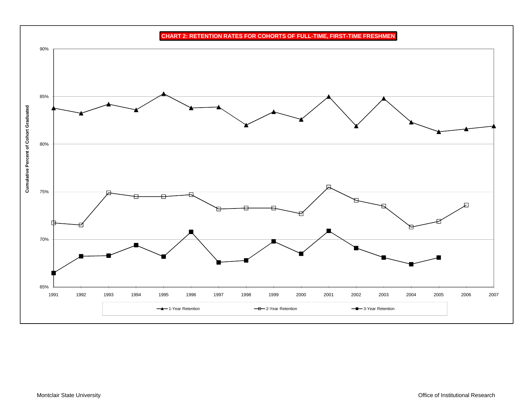**CHART 2: RETENTION RATES FOR COHORTS OF FULL-TIME, FIRST-TIME FRESHMEN** 90% 85%**Cumulative Percent of Cohort Graduated** 80%  $\mathbf{c}$ 75% 囗 70% 65%1991 1992 1993 1994 1995 1996 1997 1998 1999 2000 2001 2002 2003 2004 2005 2006 2007**1**-Year Retention <del>- □</del> 2-Year Retention 3-Year Retention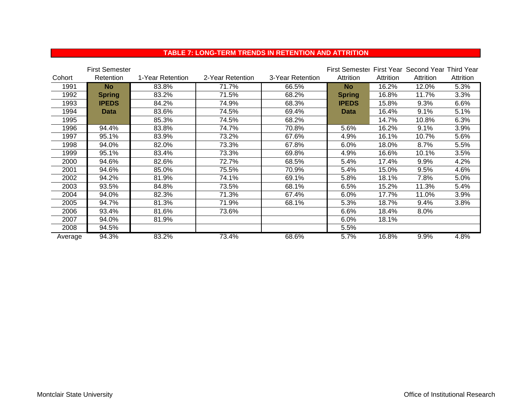### **TABLE 7: LONG-TERM TRENDS IN RETENTION AND ATTRITION**

|         | <b>First Semester</b> |                  |                  |                  | First Semestel First Year Second Year Third Year |           |           |           |
|---------|-----------------------|------------------|------------------|------------------|--------------------------------------------------|-----------|-----------|-----------|
| Cohort  | Retention             | 1-Year Retention | 2-Year Retention | 3-Year Retention | Attrition                                        | Attrition | Attrition | Attrition |
| 1991    | <b>No</b>             | 83.8%            | 71.7%            | 66.5%            | <b>No</b>                                        | 16.2%     | 12.0%     | 5.3%      |
| 1992    | <b>Spring</b>         | 83.2%            | 71.5%            | 68.2%            | <b>Spring</b>                                    | 16.8%     | 11.7%     | 3.3%      |
| 1993    | <b>IPEDS</b>          | 84.2%            | 74.9%            | 68.3%            | <b>IPEDS</b>                                     | 15.8%     | 9.3%      | 6.6%      |
| 1994    | <b>Data</b>           | 83.6%            | 74.5%            | 69.4%            | <b>Data</b>                                      | 16.4%     | 9.1%      | 5.1%      |
| 1995    |                       | 85.3%            | 74.5%            | 68.2%            |                                                  | 14.7%     | 10.8%     | 6.3%      |
| 1996    | 94.4%                 | 83.8%            | 74.7%            | 70.8%            | 5.6%                                             | 16.2%     | 9.1%      | 3.9%      |
| 1997    | 95.1%                 | 83.9%            | 73.2%            | 67.6%            | 4.9%                                             | 16.1%     | 10.7%     | 5.6%      |
| 1998    | 94.0%                 | 82.0%            | 73.3%            | 67.8%            | 6.0%                                             | 18.0%     | 8.7%      | 5.5%      |
| 1999    | 95.1%                 | 83.4%            | 73.3%            | 69.8%            | 4.9%                                             | 16.6%     | 10.1%     | 3.5%      |
| 2000    | 94.6%                 | 82.6%            | 72.7%            | 68.5%            | 5.4%                                             | 17.4%     | 9.9%      | 4.2%      |
| 2001    | 94.6%                 | 85.0%            | 75.5%            | 70.9%            | 5.4%                                             | 15.0%     | 9.5%      | 4.6%      |
| 2002    | 94.2%                 | 81.9%            | 74.1%            | 69.1%            | 5.8%                                             | 18.1%     | 7.8%      | 5.0%      |
| 2003    | 93.5%                 | 84.8%            | 73.5%            | 68.1%            | 6.5%                                             | 15.2%     | 11.3%     | 5.4%      |
| 2004    | 94.0%                 | 82.3%            | 71.3%            | 67.4%            | 6.0%                                             | 17.7%     | 11.0%     | 3.9%      |
| 2005    | 94.7%                 | 81.3%            | 71.9%            | 68.1%            | 5.3%                                             | 18.7%     | 9.4%      | 3.8%      |
| 2006    | 93.4%                 | 81.6%            | 73.6%            |                  | 6.6%                                             | 18.4%     | 8.0%      |           |
| 2007    | 94.0%                 | 81.9%            |                  |                  | 6.0%                                             | 18.1%     |           |           |
| 2008    | 94.5%                 |                  |                  |                  | 5.5%                                             |           |           |           |
| Average | 94.3%                 | 83.2%            | 73.4%            | 68.6%            | 5.7%                                             | 16.8%     | 9.9%      | 4.8%      |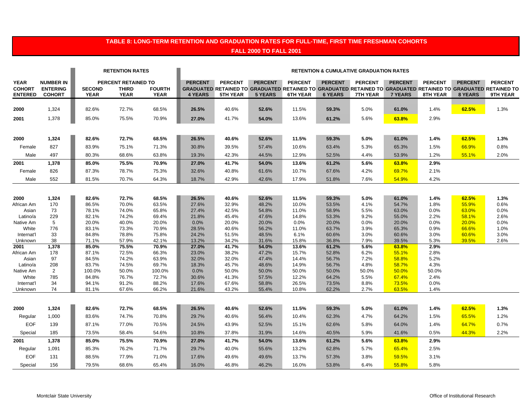## **TABLE 8: LONG-TERM RETENTION AND GRADUATION RATES FOR FULL-TIME, FIRST TIME FRESHMAN COHORTS FALL 2000 TO FALL 2001**

|                                                |                                                      |                              | <b>RETENTION RATES</b>                             |                              |                                  |                                   |                                  | <b>RETENTION &amp; CUMULATIVE GRADUATION RATES</b> |                                  |                                                                                                                                             |                                  |                            |                                  |                            |
|------------------------------------------------|------------------------------------------------------|------------------------------|----------------------------------------------------|------------------------------|----------------------------------|-----------------------------------|----------------------------------|----------------------------------------------------|----------------------------------|---------------------------------------------------------------------------------------------------------------------------------------------|----------------------------------|----------------------------|----------------------------------|----------------------------|
| <b>YEAR</b><br><b>COHORT</b><br><b>ENTERED</b> | <b>NUMBER IN</b><br><b>ENTERING</b><br><b>COHORT</b> | <b>SECOND</b><br><b>YEAR</b> | PERCENT RETAINED TO<br><b>THIRD</b><br><b>YEAR</b> | <b>FOURTH</b><br><b>YEAR</b> | <b>PERCENT</b><br><b>4 YEARS</b> | <b>PERCENT</b><br><b>5TH YEAR</b> | <b>PERCENT</b><br><b>5 YEARS</b> | <b>PERCENT</b><br><b>6TH YEAR</b>                  | <b>PERCENT</b><br><b>6 YEARS</b> | <b>PERCENT</b><br>GRADUATED RETAINED TO GRADUATED RETAINED TO GRADUATED RETAINED TO GRADUATED RETAINED TO GRADUATED RETAINED TO<br>7TH YEAR | <b>PERCENT</b><br><b>7 YEARS</b> | <b>PERCENT</b><br>8TH YEAR | <b>PERCENT</b><br><b>8 YEARS</b> | <b>PERCENT</b><br>9TH YEAR |
| 2000                                           | 1,324                                                | 82.6%                        | 72.7%                                              | 68.5%                        | 26.5%                            | 40.6%                             | 52.6%                            | 11.5%                                              | 59.3%                            | 5.0%                                                                                                                                        | 61.0%                            | 1.4%                       | 62.5%                            | 1.3%                       |
| 2001                                           | 1,378                                                | 85.0%                        | 75.5%                                              | 70.9%                        | 27.0%                            | 41.7%                             | 54.0%                            | 13.6%                                              | 61.2%                            | 5.6%                                                                                                                                        | 63.8%                            | 2.9%                       |                                  |                            |
|                                                |                                                      |                              |                                                    |                              |                                  |                                   |                                  |                                                    |                                  |                                                                                                                                             |                                  |                            |                                  |                            |
| 2000                                           | 1,324                                                | 82.6%                        | 72.7%                                              | 68.5%                        | 26.5%                            | 40.6%                             | 52.6%                            | 11.5%                                              | 59.3%                            | 5.0%                                                                                                                                        | 61.0%                            | 1.4%                       | 62.5%                            | 1.3%                       |
| Female                                         | 827                                                  | 83.9%                        | 75.1%                                              | 71.3%                        | 30.8%                            | 39.5%                             | 57.4%                            | 10.6%                                              | 63.4%                            | 5.3%                                                                                                                                        | 65.3%                            | 1.5%                       | 66.9%                            | 0.8%                       |
| Male                                           | 497                                                  | 80.3%                        | 68.6%                                              | 63.8%                        | 19.3%                            | 42.3%                             | 44.5%                            | 12.9%                                              | 52.5%                            | 4.4%                                                                                                                                        | 53.9%                            | 1.2%                       | 55.1%                            | 2.0%                       |
| 2001                                           | 1,378                                                | 85.0%                        | 75.5%                                              | 70.9%                        | 27.0%                            | 41.7%                             | 54.0%                            | 13.6%                                              | 61.2%                            | 5.6%                                                                                                                                        | 63.8%                            | 2.9%                       |                                  |                            |
| Female                                         | 826                                                  | 87.3%                        | 78.7%                                              | 75.3%                        | 32.6%                            | 40.8%                             | 61.6%                            | 10.7%                                              | 67.6%                            | 4.2%                                                                                                                                        | 69.7%                            | 2.1%                       |                                  |                            |
| Male                                           | 552                                                  | 81.5%                        | 70.7%                                              | 64.3%                        | 18.7%                            | 42.9%                             | 42.6%                            | 17.9%                                              | 51.8%                            | 7.6%                                                                                                                                        | 54.9%                            | 4.2%                       |                                  |                            |
|                                                |                                                      |                              |                                                    |                              |                                  |                                   |                                  |                                                    |                                  |                                                                                                                                             |                                  |                            |                                  |                            |
| 2000                                           | 1,324                                                | 82.6%                        | 72.7%                                              | 68.5%                        | 26.5%                            | 40.6%                             | 52.6%                            | 11.5%                                              | 59.3%                            | 5.0%                                                                                                                                        | 61.0%                            | 1.4%                       | 62.5%                            | 1.3%                       |
| African Am                                     | 170                                                  | 86.5%                        | 70.0%                                              | 63.5%                        | 27.6%                            | 32.9%                             | 48.2%                            | 10.0%                                              | 53.5%                            | 4.1%                                                                                                                                        | 54.7%                            | 1.8%                       | 55.9%                            | 0.6%                       |
| Asian                                          | 73                                                   | 78.1%                        | 74.0%                                              | 65.8%                        | 27.4%                            | 42.5%                             | 54.8%                            | 11.0%                                              | 58.9%                            | 5.5%                                                                                                                                        | 63.0%                            | 0.0%                       | 63.0%                            | 0.0%                       |
| Latino/a<br>Native Am                          | 229<br>5                                             | 82.1%<br>20.0%               | 74.2%<br>40.0%                                     | 69.4%<br>20.0%               | 21.8%<br>0.0%                    | 45.4%<br>20.0%                    | 47.6%<br>20.0%                   | 14.8%<br>0.0%                                      | 53.3%<br>20.0%                   | 9.2%<br>0.0%                                                                                                                                | 55.0%<br>20.0%                   | 2.2%<br>0.0%               | 58.1%<br>20.0%                   | 2.6%<br>0.0%               |
| White                                          | 776                                                  | 83.1%                        | 73.3%                                              | 70.9%                        | 28.5%                            | 40.6%                             | 56.2%                            | 11.0%                                              | 63.7%                            | 3.9%                                                                                                                                        | 65.3%                            | 0.9%                       | 66.6%                            | 1.0%                       |
| Internat'l                                     | 33                                                   | 84.8%                        | 78.8%                                              | 75.8%                        | 24.2%                            | 51.5%                             | 48.5%                            | 6.1%                                               | 60.6%                            | 3.0%                                                                                                                                        | 60.6%                            | 3.0%                       | 60.6%                            | 3.0%                       |
| Unknown                                        | 38                                                   | 71.1%                        | 57.9%                                              | 42.1%                        | 13.2%                            | 34.2%                             | 31.6%                            | 15.8%                                              | 36.8%                            | 7.9%                                                                                                                                        | 39.5%                            | 5.3%                       | 39.5%                            | 2.6%                       |
| 2001                                           | 1,378                                                | 85.0%                        | 75.5%                                              | 70.9%                        | 27.0%                            | 41.7%                             | 54.0%                            | 13.6%                                              | 61.2%                            | 5.6%                                                                                                                                        | 63.8%                            | 2.9%                       |                                  |                            |
| African Am                                     | 178                                                  | 87.1%                        | 72.5%                                              | 66.3%                        | 23.0%                            | 38.2%                             | 47.2%                            | 15.7%                                              | 52.8%                            | 6.2%                                                                                                                                        | 55.1%                            | 2.8%                       |                                  |                            |
| Asian                                          | 97                                                   | 84.5%                        | 74.2%                                              | 63.9%                        | 32.0%                            | 32.0%                             | 47.4%                            | 14.4%                                              | 56.7%                            | 7.2%                                                                                                                                        | 58.8%                            | 5.2%                       |                                  |                            |
| Latino/a                                       | 208                                                  | 83.7%                        | 74.5%                                              | 69.7%                        | 18.3%                            | 45.7%                             | 48.6%                            | 14.9%                                              | 56.7%                            | 4.8%                                                                                                                                        | 58.7%                            | 4.3%                       |                                  |                            |
| Native Am                                      | 2                                                    | 100.0%                       | 50.0%                                              | 100.0%                       | 0.0%                             | 50.0%                             | 50.0%                            | 50.0%                                              | 50.0%                            | 50.0%                                                                                                                                       | 50.0%                            | 50.0%                      |                                  |                            |
| White                                          | 785                                                  | 84.8%                        | 76.7%                                              | 72.7%                        | 30.6%                            | 41.3%                             | 57.5%                            | 12.2%                                              | 64.2%                            | 5.5%                                                                                                                                        | 67.4%                            | 2.4%                       |                                  |                            |
| Internat'l<br>Unknown                          | 34<br>74                                             | 94.1%<br>81.1%               | 91.2%<br>67.6%                                     | 88.2%<br>66.2%               | 17.6%<br>21.6%                   | 67.6%<br>43.2%                    | 58.8%<br>55.4%                   | 26.5%<br>10.8%                                     | 73.5%<br>62.2%                   | 8.8%<br>2.7%                                                                                                                                | 73.5%<br>63.5%                   | 0.0%<br>1.4%               |                                  |                            |
|                                                |                                                      |                              |                                                    |                              |                                  |                                   |                                  |                                                    |                                  |                                                                                                                                             |                                  |                            |                                  |                            |
| 2000                                           | 1,324                                                | 82.6%                        | 72.7%                                              | 68.5%                        | 26.5%                            | 40.6%                             | 52.6%                            | 11.5%                                              | 59.3%                            | 5.0%                                                                                                                                        | 61.0%                            | 1.4%                       | 62.5%                            | 1.3%                       |
| Regular                                        | 1,000                                                | 83.6%                        | 74.7%                                              | 70.8%                        | 29.7%                            | 40.6%                             | 56.4%                            | 10.4%                                              | 62.3%                            | 4.7%                                                                                                                                        | 64.2%                            | 1.5%                       | 65.5%                            | 1.2%                       |
| <b>EOF</b>                                     | 139                                                  | 87.1%                        | 77.0%                                              | 70.5%                        | 24.5%                            | 43.9%                             | 52.5%                            | 15.1%                                              | 62.6%                            | 5.8%                                                                                                                                        | 64.0%                            | 1.4%                       | 64.7%                            | 0.7%                       |
| Special                                        | 185                                                  | 73.5%                        | 58.4%                                              | 54.6%                        | 10.8%                            | 37.8%                             | 31.9%                            | 14.6%                                              | 40.5%                            | 5.9%                                                                                                                                        | 41.6%                            | 0.5%                       | 44.3%                            | 2.2%                       |
| 2001                                           | 1,378                                                | 85.0%                        | 75.5%                                              | 70.9%                        | 27.0%                            | 41.7%                             | 54.0%                            | 13.6%                                              | 61.2%                            | 5.6%                                                                                                                                        | 63.8%                            | 2.9%                       |                                  |                            |
| Regular                                        | 1,091                                                | 85.3%                        | 76.2%                                              | 71.7%                        | 29.7%                            | 40.0%                             | 55.6%                            | 13.2%                                              | 62.8%                            | 5.7%                                                                                                                                        | 65.4%                            | 2.5%                       |                                  |                            |
| <b>EOF</b>                                     | 131                                                  | 88.5%                        | 77.9%                                              | 71.0%                        | 17.6%                            | 49.6%                             | 49.6%                            | 13.7%                                              | 57.3%                            | 3.8%                                                                                                                                        | 59.5%                            | 3.1%                       |                                  |                            |
| Special                                        | 156                                                  | 79.5%                        | 68.6%                                              | 65.4%                        | 16.0%                            | 46.8%                             | 46.2%                            | 16.0%                                              | 53.8%                            | 6.4%                                                                                                                                        | 55.8%                            | 5.8%                       |                                  |                            |